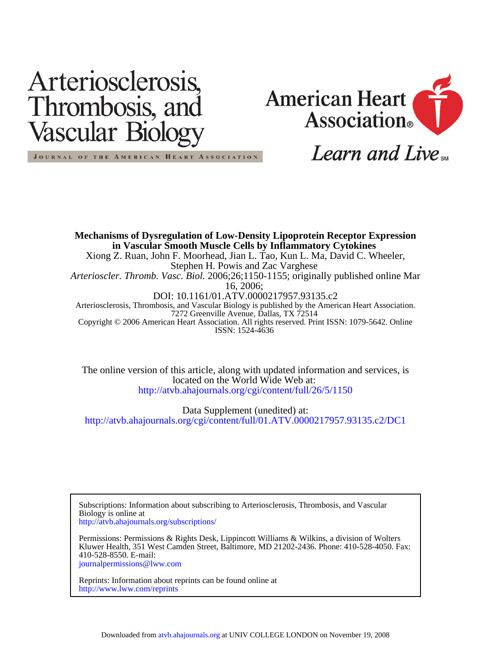# Arteriosclerosis, Thrombosis, and Vascular Biolog



Learn and Live<sub>sM</sub>

JOURNAL OF THE AMERICAN HEART ASSOCIATION

ISSN: 1524-4636 Copyright © 2006 American Heart Association. All rights reserved. Print ISSN: 1079-5642. Online 7272 Greenville Avenue, Dallas, TX 72514 Arteriosclerosis, Thrombosis, and Vascular Biology is published by the American Heart Association. DOI: 10.1161/01.ATV.0000217957.93135.c2 16, 2006; *Arterioscler. Thromb. Vasc. Biol.* 2006;26;1150-1155; originally published online Mar Stephen H. Powis and Zac Varghese Xiong Z. Ruan, John F. Moorhead, Jian L. Tao, Kun L. Ma, David C. Wheeler, **in Vascular Smooth Muscle Cells by Inflammatory Cytokines Mechanisms of Dysregulation of Low-Density Lipoprotein Receptor Expression**

<http://atvb.ahajournals.org/cgi/content/full/26/5/1150> located on the World Wide Web at: The online version of this article, along with updated information and services, is

<http://atvb.ahajournals.org/cgi/content/full/01.ATV.0000217957.93135.c2/DC1> Data Supplement (unedited) at:

<http://atvb.ahajournals.org/subscriptions/> Biology is online at Subscriptions: Information about subscribing to Arteriosclerosis, Thrombosis, and Vascular

[journalpermissions@lww.com](mailto:journalpermissions@lww.com) 410-528-8550. E-mail: Kluwer Health, 351 West Camden Street, Baltimore, MD 21202-2436. Phone: 410-528-4050. Fax: Permissions: Permissions & Rights Desk, Lippincott Williams & Wilkins, a division of Wolters

<http://www.lww.com/reprints> Reprints: Information about reprints can be found online at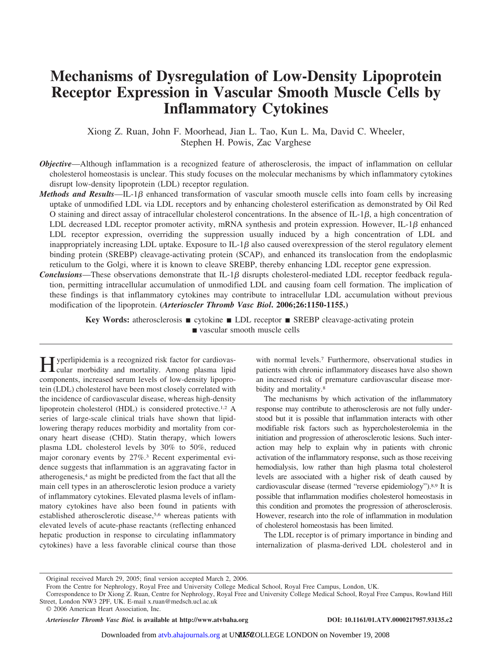## **Mechanisms of Dysregulation of Low-Density Lipoprotein Receptor Expression in Vascular Smooth Muscle Cells by Inflammatory Cytokines**

Xiong Z. Ruan, John F. Moorhead, Jian L. Tao, Kun L. Ma, David C. Wheeler, Stephen H. Powis, Zac Varghese

- *Objective*—Although inflammation is a recognized feature of atherosclerosis, the impact of inflammation on cellular cholesterol homeostasis is unclear. This study focuses on the molecular mechanisms by which inflammatory cytokines disrupt low-density lipoprotein (LDL) receptor regulation.
- *Methods and Results*—IL-1<sup>β</sup> enhanced transformation of vascular smooth muscle cells into foam cells by increasing uptake of unmodified LDL via LDL receptors and by enhancing cholesterol esterification as demonstrated by Oil Red O staining and direct assay of intracellular cholesterol concentrations. In the absence of  $IL-1\beta$ , a high concentration of LDL decreased LDL receptor promoter activity, mRNA synthesis and protein expression. However,  $IL-1\beta$  enhanced LDL receptor expression, overriding the suppression usually induced by a high concentration of LDL and inappropriately increasing LDL uptake. Exposure to IL-1 $\beta$  also caused overexpression of the sterol regulatory element binding protein (SREBP) cleavage-activating protein (SCAP), and enhanced its translocation from the endoplasmic reticulum to the Golgi, where it is known to cleave SREBP, thereby enhancing LDL receptor gene expression.
- *Conclusions*—These observations demonstrate that IL-1 $\beta$  disrupts cholesterol-mediated LDL receptor feedback regulation, permitting intracellular accumulation of unmodified LDL and causing foam cell formation. The implication of these findings is that inflammatory cytokines may contribute to intracellular LDL accumulation without previous modification of the lipoprotein. **(***Arterioscler Thromb Vasc Biol***. 2006;26:1150-1155.)**

**Key Words:** atherosclerosis ■ cytokine ■ LDL receptor ■ SREBP cleavage-activating protein vascular smooth muscle cells

Hyperlipidemia is a recognized risk factor for cardiovas-cular morbidity and mortality. Among plasma lipid components, increased serum levels of low-density lipoprotein (LDL) cholesterol have been most closely correlated with the incidence of cardiovascular disease, whereas high-density lipoprotein cholesterol (HDL) is considered protective.1,2 A series of large-scale clinical trials have shown that lipidlowering therapy reduces morbidity and mortality from coronary heart disease (CHD). Statin therapy, which lowers plasma LDL cholesterol levels by 30% to 50%, reduced major coronary events by 27%.3 Recent experimental evidence suggests that inflammation is an aggravating factor in atherogenesis,4 as might be predicted from the fact that all the main cell types in an atherosclerotic lesion produce a variety of inflammatory cytokines. Elevated plasma levels of inflammatory cytokines have also been found in patients with established atherosclerotic disease,5,6 whereas patients with elevated levels of acute-phase reactants (reflecting enhanced hepatic production in response to circulating inflammatory cytokines) have a less favorable clinical course than those

with normal levels.7 Furthermore, observational studies in patients with chronic inflammatory diseases have also shown an increased risk of premature cardiovascular disease morbidity and mortality.<sup>8</sup>

The mechanisms by which activation of the inflammatory response may contribute to atherosclerosis are not fully understood but it is possible that inflammation interacts with other modifiable risk factors such as hypercholesterolemia in the initiation and progression of atherosclerotic lesions. Such interaction may help to explain why in patients with chronic activation of the inflammatory response, such as those receiving hemodialysis, low rather than high plasma total cholesterol levels are associated with a higher risk of death caused by cardiovascular disease (termed "reverse epidemiology").8,9 It is possible that inflammation modifies cholesterol homeostasis in this condition and promotes the progression of atherosclerosis. However, research into the role of inflammation in modulation of cholesterol homeostasis has been limited.

The LDL receptor is of primary importance in binding and internalization of plasma-derived LDL cholesterol and in

*Arterioscler Thromb Vasc Biol.* **is available at http://www.atvbaha.org DOI: 10.1161/01.ATV.0000217957.93135.c2**

Original received March 29, 2005; final version accepted March 2, 2006.

From the Centre for Nephrology, Royal Free and University College Medical School, Royal Free Campus, London, UK.

Correspondence to Dr Xiong Z. Ruan, Centre for Nephrology, Royal Free and University College Medical School, Royal Free Campus, Rowland Hill Street, London NW3 2PF, UK. E-mail x.ruan@medsch.ucl.ac.uk

<sup>© 2006</sup> American Heart Association, Inc.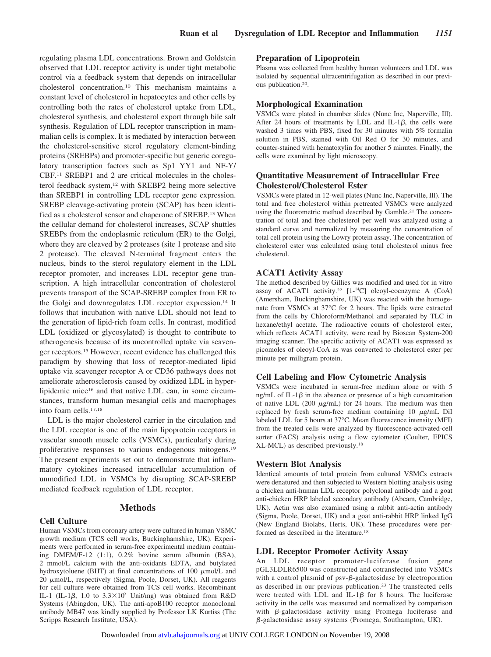regulating plasma LDL concentrations. Brown and Goldstein observed that LDL receptor activity is under tight metabolic control via a feedback system that depends on intracellular cholesterol concentration.10 This mechanism maintains a constant level of cholesterol in hepatocytes and other cells by controlling both the rates of cholesterol uptake from LDL, cholesterol synthesis, and cholesterol export through bile salt synthesis. Regulation of LDL receptor transcription in mammalian cells is complex. It is mediated by interaction between the cholesterol-sensitive sterol regulatory element-binding proteins (SREBPs) and promoter-specific but generic coregulatory transcription factors such as Sp1 YY1 and NF-Y/ CBF.11 SREBP1 and 2 are critical molecules in the cholesterol feedback system,<sup>12</sup> with SREBP2 being more selective than SREBP1 in controlling LDL receptor gene expression. SREBP cleavage-activating protein (SCAP) has been identified as a cholesterol sensor and chaperone of SREBP.13 When the cellular demand for cholesterol increases, SCAP shuttles SREBPs from the endoplasmic reticulum (ER) to the Golgi, where they are cleaved by 2 proteases (site 1 protease and site 2 protease). The cleaved N-terminal fragment enters the nucleus, binds to the sterol regulatory element in the LDL receptor promoter, and increases LDL receptor gene transcription. A high intracellular concentration of cholesterol prevents transport of the SCAP-SREBP complex from ER to the Golgi and downregulates LDL receptor expression.14 It follows that incubation with native LDL should not lead to the generation of lipid-rich foam cells. In contrast, modified LDL (oxidized or glycosylated) is thought to contribute to atherogenesis because of its uncontrolled uptake via scavenger receptors.15 However, recent evidence has challenged this paradigm by showing that loss of receptor-mediated lipid uptake via scavenger receptor A or CD36 pathways does not ameliorate atherosclerosis caused by oxidized LDL in hyperlipidemic mice16 and that native LDL can, in some circumstances, transform human mesangial cells and macrophages into foam cells.17,18

LDL is the major cholesterol carrier in the circulation and the LDL receptor is one of the main lipoprotein receptors in vascular smooth muscle cells (VSMCs), particularly during proliferative responses to various endogenous mitogens.19 The present experiments set out to demonstrate that inflammatory cytokines increased intracellular accumulation of unmodified LDL in VSMCs by disrupting SCAP-SREBP mediated feedback regulation of LDL receptor.

#### **Methods**

#### **Cell Culture**

Human VSMCs from coronary artery were cultured in human VSMC growth medium (TCS cell works, Buckinghamshire, UK). Experiments were performed in serum-free experimental medium containing DMEM/F-12 (1:1), 0.2% bovine serum albumin (BSA), 2 mmol/L calcium with the anti-oxidants EDTA, and butylated hydroxytoluene (BHT) at final concentrations of  $100 \mu$ mol/L and 20  $\mu$ mol/L, respectively (Sigma, Poole, Dorset, UK). All reagents for cell culture were obtained from TCS cell works. Recombinant IL-1 (IL-1 $\beta$ , 1.0 to 3.3×10<sup>8</sup> Unit/mg) was obtained from R&D Systems (Abingdon, UK). The anti-apoB100 receptor monoclonal antibody MB47 was kindly supplied by Professor LK Kurtiss (The Scripps Research Institute, USA).

#### **Preparation of Lipoprotein**

Plasma was collected from healthy human volunteers and LDL was isolated by sequential ultracentrifugation as described in our previous publication.20.

#### **Morphological Examination**

VSMCs were plated in chamber slides (Nunc Inc, Naperville, Ill). After 24 hours of treatments by LDL and IL-1 $\beta$ , the cells were washed 3 times with PBS, fixed for 30 minutes with 5% formalin solution in PBS, stained with Oil Red O for 30 minutes, and counter-stained with hematoxylin for another 5 minutes. Finally, the cells were examined by light microscopy.

#### **Quantitative Measurement of Intracellular Free Cholesterol/Cholesterol Ester**

VSMCs were plated in 12-well plates (Nunc Inc, Naperville, Ill). The total and free cholesterol within pretreated VSMCs were analyzed using the fluorometric method described by Gamble.<sup>21</sup> The concentration of total and free cholesterol per well was analyzed using a standard curve and normalized by measuring the concentration of total cell protein using the Lowry protein assay. The concentration of cholesterol ester was calculated using total cholesterol minus free cholesterol.

#### **ACAT1 Activity Assay**

The method described by Gillies was modified and used for in vitro assay of ACAT1 activity.<sup>22</sup> [1-<sup>14</sup>C] oleoyl-coenzyme A (CoA) (Amersham, Buckinghamshire, UK) was reacted with the homogenate from VSMCs at 37°C for 2 hours. The lipids were extracted from the cells by Chloroform/Methanol and separated by TLC in hexane/ethyl acetate. The radioactive counts of cholesterol ester, which reflects ACAT1 activity, were read by Bioscan System-200 imaging scanner. The specific activity of ACAT1 was expressed as picomoles of oleoyl-CoA as was converted to cholesterol ester per minute per milligram protein.

#### **Cell Labeling and Flow Cytometric Analysis**

VSMCs were incubated in serum-free medium alone or with 5 ng/mL of IL-1 $\beta$  in the absence or presence of a high concentration of native LDL (200  $\mu$ g/mL) for 24 hours. The medium was then replaced by fresh serum-free medium containing  $10 \mu g/mL$  DiI labeled LDL for 5 hours at 37°C. Mean fluorescence intensity (MFI) from the treated cells were analyzed by fluorescence-activated-cell sorter (FACS) analysis using a flow cytometer (Coulter, EPICS XL-MCL) as described previously.18

#### **Western Blot Analysis**

Identical amounts of total protein from cultured VSMCs extracts were denatured and then subjected to Western blotting analysis using a chicken anti-human LDL receptor polyclonal antibody and a goat anti-chicken HRP labeled secondary antibody (Abcam, Cambridge, UK). Actin was also examined using a rabbit anti-actin antibody (Sigma, Poole, Dorset, UK) and a goat anti-rabbit HRP linked IgG (New England Biolabs, Herts, UK). These procedures were performed as described in the literature.18

#### **LDL Receptor Promoter Activity Assay**

An LDL receptor promoter-luciferase fusion gene pGL3LDLR6500 was constructed and cotransfected into VSMCs with a control plasmid of  $psv-\beta$ -galactosidase by electroporation as described in our previous publication.23 The transfected cells were treated with LDL and IL-1 $\beta$  for 8 hours. The luciferase activity in the cells was measured and normalized by comparison with  $\beta$ -galactosidase activity using Promega luciferase and  $\beta$ -galactosidase assay systems (Promega, Southampton, UK).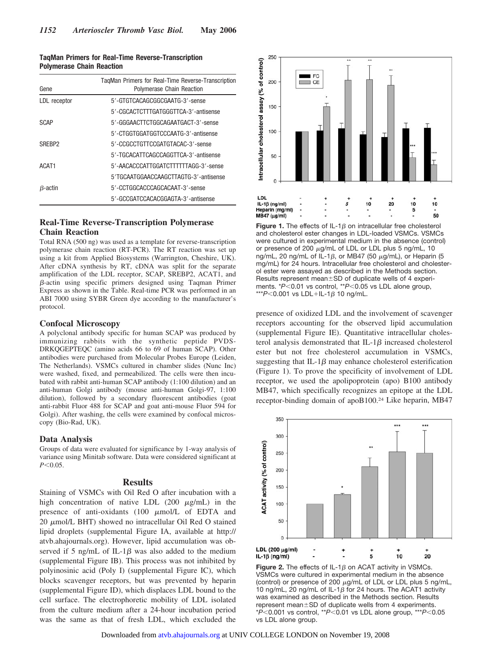| <b>TagMan Primers for Real-Time Reverse-Transcription</b> |  |
|-----------------------------------------------------------|--|
| <b>Polymerase Chain Reaction</b>                          |  |

| Gene               | TagMan Primers for Real-Time Reverse-Transcription<br>Polymerase Chain Reaction |
|--------------------|---------------------------------------------------------------------------------|
| LDL receptor       | 5'-GTGTCACAGCGGCGAATG-3'-sense                                                  |
|                    | 5'-CGCACTCTTTGATGGGTTCA-3'-antisense                                            |
| SCAP               | 5'-GGGAACTTCTGGCAGAATGACT-3'-sense                                              |
|                    | 5'-CTGGTGGATGGTCCCAATG-3'-antisense                                             |
| SREBP <sub>2</sub> | 5'-CCGCCTGTTCCGATGTACAC-3'-sense                                                |
|                    | 5'-TGCACATTCAGCCAGGTTCA-3'-antisense                                            |
| ACAT <sub>1</sub>  | 5'-AACACCCATTGGATCTTTTTTAGG-3'-sense                                            |
|                    | 5'TGCAATGGAACCAAGCTTAGTG-3'-antisense                                           |
| $B$ -actin         | 5'-CCTGGCACCCAGCACAAT-3'-sense                                                  |
|                    | 5'-GCCGATCCACACGGAGTA-3'-antisense                                              |

#### **Real-Time Reverse-Transcription Polymerase Chain Reaction**

Total RNA (500 ng) was used as a template for reverse-transcription polymerase chain reaction (RT-PCR). The RT reaction was set up using a kit from Applied Biosystems (Warrington, Cheshire, UK). After cDNA synthesis by RT, cDNA was split for the separate amplification of the LDL receptor, SCAP, SREBP2, ACAT1, and  $\beta$ -actin using specific primers designed using Taqman Primer Express as shown in the Table. Real-time PCR was performed in an ABI 7000 using SYBR Green dye according to the manufacturer's protocol.

#### **Confocal Microscopy**

A polyclonal antibody specific for human SCAP was produced by immunizing rabbits with the synthetic peptide PVDS-DRKQGEPTEQC (amino acids 66 to 69 of human SCAP). Other antibodies were purchased from Molecular Probes Europe (Leiden, The Netherlands). VSMCs cultured in chamber slides (Nunc Inc) were washed, fixed, and permeabilized. The cells were then incubated with rabbit anti-human SCAP antibody (1:100 dilution) and an anti-human Golgi antibody (mouse anti-human Golgi-97, 1:100 dilution), followed by a secondary fluorescent antibodies (goat anti-rabbit Fluor 488 for SCAP and goat anti-mouse Fluor 594 for Golgi). After washing, the cells were examined by confocal microscopy (Bio-Rad, UK).

#### **Data Analysis**

Groups of data were evaluated for significance by 1-way analysis of variance using Minitab software. Data were considered significant at *P*-0.05.

#### **Results**

Staining of VSMCs with Oil Red O after incubation with a high concentration of native LDL  $(200 \mu g/mL)$  in the presence of anti-oxidants  $(100 \mu \text{mol/L of EDTA and})$  $20 \mu$ mol/L BHT) showed no intracellular Oil Red O stained lipid droplets (supplemental Figure IA, available at http:// atvb.ahajournals.org). However, lipid accumulation was observed if 5 ng/mL of IL-1 $\beta$  was also added to the medium (supplemental Figure IB). This process was not inhibited by polyinosinic acid (Poly I) (supplemental Figure IC), which blocks scavenger receptors, but was prevented by heparin (supplemental Figure ID), which displaces LDL bound to the cell surface. The electrophoretic mobility of LDL isolated from the culture medium after a 24-hour incubation period was the same as that of fresh LDL, which excluded the



**Figure 1.** The effects of  $IL-1\beta$  on intracellular free cholesterol and cholesterol ester changes in LDL-loaded VSMCs. VSMCs were cultured in experimental medium in the absence (control) or presence of 200  $\mu$ g/mL of LDL or LDL plus 5 ng/mL, 10 ng/mL, 20 ng/mL of IL-1 $\beta$ , or MB47 (50  $\mu$ g/mL), or Heparin (5 mg/mL) for 24 hours. Intracellular free cholesterol and cholesterol ester were assayed as described in the Methods section. Results represent mean $\pm$ SD of duplicate wells of 4 experiments. \**P*-0.01 vs control, \*\**P*-0.05 vs LDL alone group, \*\*\**P*<0.001 vs LDL+IL-1β 10 ng/mL.

presence of oxidized LDL and the involvement of scavenger receptors accounting for the observed lipid accumulation (supplemental Figure IE). Quantitative intracellular cholesterol analysis demonstrated that IL-1 $\beta$  increased cholesterol ester but not free cholesterol accumulation in VSMCs, suggesting that IL-1 $\beta$  may enhance cholesterol esterification (Figure 1). To prove the specificity of involvement of LDL receptor, we used the apolipoprotein (apo) B100 antibody MB47, which specifically recognizes an epitope at the LDL receptor-binding domain of apoB100.24 Like heparin, MB47



**Figure 2.** The effects of IL-1 $\beta$  on ACAT activity in VSMCs. VSMCs were cultured in experimental medium in the absence (control) or presence of 200  $\mu$ g/mL of LDL or LDL plus 5 ng/mL, 10 ng/mL, 20 ng/mL of IL-1 $\beta$  for 24 hours. The ACAT1 activity was examined as described in the Methods section. Results represent mean $\pm$ SD of duplicate wells from 4 experiments. \**P*-0.001 vs control, \*\**P*-0.01 vs LDL alone group, \*\*\**P*-0.05 vs LDL alone group.

Downloaded from [atvb.ahajournals.org](http://atvb.ahajournals.org) at UNIV COLLEGE LONDON on November 19, 2008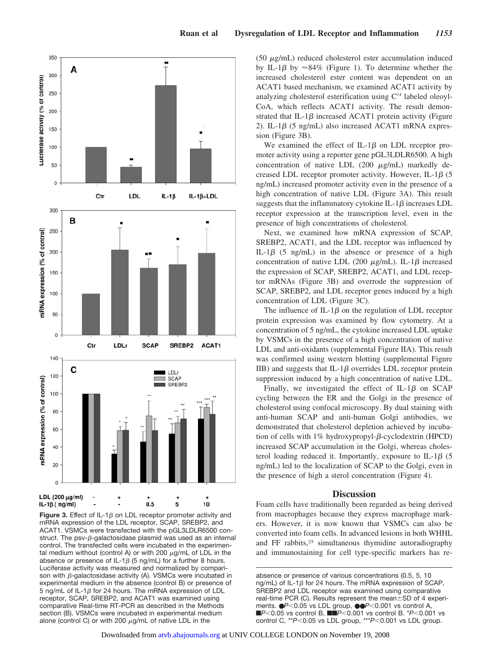

**Figure 3.** Effect of IL-1 $\beta$  on LDL receptor promoter activity and mRNA expression of the LDL receptor, SCAP, SREBP2, and ACAT1. VSMCs were transfected with the pGL3LDLR6500 construct. The psv- $\beta$ -galactosidase plasmid was used as an internal control. The transfected cells were incubated in the experimental medium without (control A) or with 200  $\mu$ g/mL of LDL in the absence or presence of IL-1 $\beta$  (5 ng/mL) for a further 8 hours. Luciferase activity was measured and normalized by comparison with  $\beta$ -galactosidase activity (A). VSMCs were incubated in experimental medium in the absence (control B) or presence of 5 ng/mL of IL-1 $\beta$  for 24 hours. The mRNA expression of LDL receptor, SCAP, SREBP2, and ACAT1 was examined using comparative Real-time RT-PCR as described in the Methods section (B). VSMCs were incubated in experimental medium alone (control C) or with 200  $\mu$ g/mL of native LDL in the

 $(50 \mu g/mL)$  reduced cholesterol ester accumulation induced by IL-1 $\beta$  by  $\approx 84\%$  (Figure 1). To determine whether the increased cholesterol ester content was dependent on an ACAT1 based mechanism, we examined ACAT1 activity by analyzing cholesterol esterification using  $C<sup>14</sup>$  labeled oleoyl-CoA, which reflects ACAT1 activity. The result demonstrated that IL-1 $\beta$  increased ACAT1 protein activity (Figure 2). IL-1 $\beta$  (5 ng/mL) also increased ACAT1 mRNA expression (Figure 3B).

We examined the effect of IL-1 $\beta$  on LDL receptor promoter activity using a reporter gene pGL3LDLR6500. A high concentration of native LDL  $(200 \mu g/mL)$  markedly decreased LDL receptor promoter activity. However, IL-1 $\beta$  (5) ng/mL) increased promoter activity even in the presence of a high concentration of native LDL (Figure 3A). This result suggests that the inflammatory cytokine IL-1 $\beta$  increases LDL receptor expression at the transcription level, even in the presence of high concentrations of cholesterol.

Next, we examined how mRNA expression of SCAP, SREBP2, ACAT1, and the LDL receptor was influenced by IL-1 $\beta$  (5 ng/mL) in the absence or presence of a high concentration of native LDL (200  $\mu$ g/mL). IL-1 $\beta$  increased the expression of SCAP, SREBP2, ACAT1, and LDL receptor mRNAs (Figure 3B) and overrode the suppression of SCAP, SREBP2, and LDL receptor genes induced by a high concentration of LDL (Figure 3C).

The influence of IL-1 $\beta$  on the regulation of LDL receptor protein expression was examined by flow cytometry. At a concentration of 5 ng/mL, the cytokine increased LDL uptake by VSMCs in the presence of a high concentration of native LDL and anti-oxidants (supplemental Figure IIA). This result was confirmed using western blotting (supplemental Figure IIB) and suggests that IL-1 $\beta$  overrides LDL receptor protein suppression induced by a high concentration of native LDL.

Finally, we investigated the effect of IL-1 $\beta$  on SCAP cycling between the ER and the Golgi in the presence of cholesterol using confocal microscopy. By dual staining with anti-human SCAP and anti-human Golgi antibodies, we demonstrated that cholesterol depletion achieved by incubation of cells with  $1\%$  hydroxypropyl- $\beta$ -cyclodextrin (HPCD) increased SCAP accumulation in the Golgi, whereas cholesterol loading reduced it. Importantly, exposure to IL-1 $\beta$  (5) ng/mL) led to the localization of SCAP to the Golgi, even in the presence of high a sterol concentration (Figure 4).

#### **Discussion**

Foam cells have traditionally been regarded as being derived from macrophages because they express macrophage markers. However, it is now known that VSMCs can also be converted into foam cells. In advanced lesions in both WHHL and FF rabbits,<sup>25</sup> simultaneous thymidine autoradiography and immunostaining for cell type-specific markers has re-

absence or presence of various concentrations (0.5, 5, 10 ng/mL) of IL-1 $\beta$  for 24 hours. The mRNA expression of SCAP, SREBP2 and LDL receptor was examined using comparative real-time PCR (C). Results represent the mean $\pm$ SD of 4 experiments. ●*P*-0.05 vs LDL group, ●●*P*-0.001 vs control A, **F**P<0.05 vs control B, **FF**P<0.001 vs control B. \*P<0.001 vs control C, \*\**P*-0.05 vs LDL group, \*\*\**P*-0.001 vs LDL group.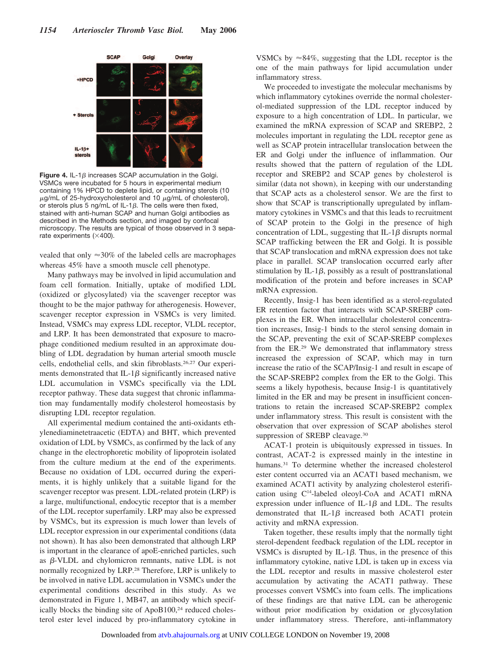

**Figure 4.** IL-1 $\beta$  increases SCAP accumulation in the Golgi. VSMCs were incubated for 5 hours in experimental medium containing 1% HPCD to deplete lipid, or containing sterols (10  $\mu$ g/mL of 25-hydroxycholesterol and 10  $\mu$ g/mL of cholesterol), or sterols plus 5 ng/mL of IL-1 $\beta$ . The cells were then fixed, stained with anti-human SCAP and human Golgi antibodies as described in the Methods section, and imaged by confocal microscopy. The results are typical of those observed in 3 separate experiments  $(\times 400)$ .

vealed that only  $\approx$ 30% of the labeled cells are macrophages whereas 45% have a smooth muscle cell phenotype.

Many pathways may be involved in lipid accumulation and foam cell formation. Initially, uptake of modified LDL (oxidized or glycosylated) via the scavenger receptor was thought to be the major pathway for atherogenesis. However, scavenger receptor expression in VSMCs is very limited. Instead, VSMCs may express LDL receptor, VLDL receptor, and LRP. It has been demonstrated that exposure to macrophage conditioned medium resulted in an approximate doubling of LDL degradation by human arterial smooth muscle cells, endothelial cells, and skin fibroblasts.26,27 Our experiments demonstrated that IL-1 $\beta$  significantly increased native LDL accumulation in VSMCs specifically via the LDL receptor pathway. These data suggest that chronic inflammation may fundamentally modify cholesterol homeostasis by disrupting LDL receptor regulation.

All experimental medium contained the anti-oxidants ethylenediaminetetraacetic (EDTA) and BHT, which prevented oxidation of LDL by VSMCs, as confirmed by the lack of any change in the electrophoretic mobility of lipoprotein isolated from the culture medium at the end of the experiments. Because no oxidation of LDL occurred during the experiments, it is highly unlikely that a suitable ligand for the scavenger receptor was present. LDL-related protein (LRP) is a large, multifunctional, endocytic receptor that is a member of the LDL receptor superfamily. LRP may also be expressed by VSMCs, but its expression is much lower than levels of LDL receptor expression in our experimental conditions (data not shown). It has also been demonstrated that although LRP is important in the clearance of apoE-enriched particles, such as  $\beta$ -VLDL and chylomicron remnants, native LDL is not normally recognized by LRP.28 Therefore, LRP is unlikely to be involved in native LDL accumulation in VSMCs under the experimental conditions described in this study. As we demonstrated in Figure 1, MB47, an antibody which specifically blocks the binding site of ApoB100,<sup>24</sup> reduced cholesterol ester level induced by pro-inflammatory cytokine in

VSMCs by  $\approx 84\%$ , suggesting that the LDL receptor is the one of the main pathways for lipid accumulation under inflammatory stress.

We proceeded to investigate the molecular mechanisms by which inflammatory cytokines override the normal cholesterol-mediated suppression of the LDL receptor induced by exposure to a high concentration of LDL. In particular, we examined the mRNA expression of SCAP and SREBP2, 2 molecules important in regulating the LDL receptor gene as well as SCAP protein intracellular translocation between the ER and Golgi under the influence of inflammation. Our results showed that the pattern of regulation of the LDL receptor and SREBP2 and SCAP genes by cholesterol is similar (data not shown), in keeping with our understanding that SCAP acts as a cholesterol sensor. We are the first to show that SCAP is transcriptionally upregulated by inflammatory cytokines in VSMCs and that this leads to recruitment of SCAP protein to the Golgi in the presence of high concentration of LDL, suggesting that IL-1 $\beta$  disrupts normal SCAP trafficking between the ER and Golgi. It is possible that SCAP translocation and mRNA expression does not take place in parallel. SCAP translocation occurred early after stimulation by IL-1 $\beta$ , possibly as a result of posttranslational modification of the protein and before increases in SCAP mRNA expression.

Recently, Insig-1 has been identified as a sterol-regulated ER retention factor that interacts with SCAP-SREBP complexes in the ER. When intracellular cholesterol concentration increases, Insig-1 binds to the sterol sensing domain in the SCAP, preventing the exit of SCAP-SREBP complexes from the ER.29 We demonstrated that inflammatory stress increased the expression of SCAP, which may in turn increase the ratio of the SCAP/Insig-1 and result in escape of the SCAP-SREBP2 complex from the ER to the Golgi. This seems a likely hypothesis, because Insig-1 is quantitatively limited in the ER and may be present in insufficient concentrations to retain the increased SCAP-SREBP2 complex under inflammatory stress. This result is consistent with the observation that over expression of SCAP abolishes sterol suppression of SREBP cleavage.<sup>30</sup>

ACAT-1 protein is ubiquitously expressed in tissues. In contrast, ACAT-2 is expressed mainly in the intestine in humans.31 To determine whether the increased cholesterol ester content occurred via an ACAT1 based mechanism, we examined ACAT1 activity by analyzing cholesterol esterification using  $C^{14}$ -labeled oleoyl-CoA and ACAT1 mRNA expression under influence of IL-1 $\beta$  and LDL. The results demonstrated that IL-1 $\beta$  increased both ACAT1 protein activity and mRNA expression.

Taken together, these results imply that the normally tight sterol-dependent feedback regulation of the LDL receptor in VSMCs is disrupted by IL-1 $\beta$ . Thus, in the presence of this inflammatory cytokine, native LDL is taken up in excess via the LDL receptor and results in massive cholesterol ester accumulation by activating the ACAT1 pathway. These processes convert VSMCs into foam cells. The implications of these findings are that native LDL can be atherogenic without prior modification by oxidation or glycosylation under inflammatory stress. Therefore, anti-inflammatory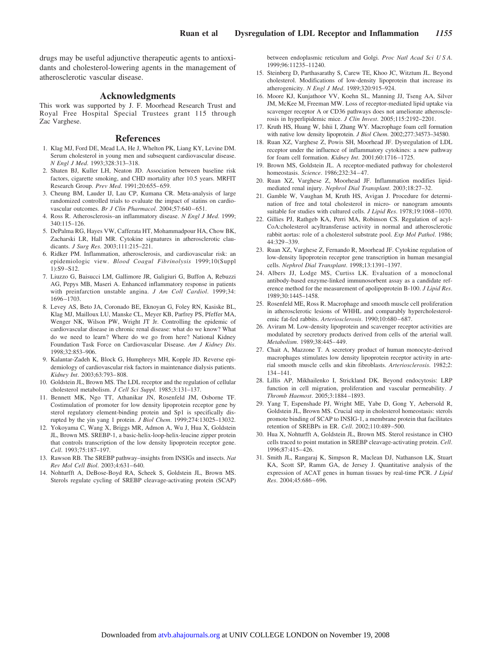drugs may be useful adjunctive therapeutic agents to antioxidants and cholesterol-lowering agents in the management of atherosclerotic vascular disease.

#### **Acknowledgments**

This work was supported by J. F. Moorhead Research Trust and Royal Free Hospital Special Trustees grant 115 through Zac Varghese.

#### **References**

- 1. Klag MJ, Ford DE, Mead LA, He J, Whelton PK, Liang KY, Levine DM. Serum cholesterol in young men and subsequent cardiovascular disease. *N Engl J Med*. 1993;328:313–318.
- 2. Shaten BJ, Kuller LH, Neaton JD. Association between baseline risk factors, cigarette smoking, and CHD mortality after 10.5 years. MRFIT Research Group. *Prev Med*. 1991;20:655– 659.
- 3. Cheung BM, Lauder IJ, Lau CP, Kumana CR. Meta-analysis of large randomized controlled trials to evaluate the impact of statins on cardiovascular outcomes. *Br J Clin Pharmacol*. 2004;57:640-651.
- 4. Ross R. Atherosclerosis–an inflammatory disease. *N Engl J Med*. 1999; 340:115–126.
- 5. DePalma RG, Hayes VW, Cafferata HT, Mohammadpour HA, Chow BK, Zacharski LR, Hall MR. Cytokine signatures in atherosclerotic claudicants. *J Surg Res*. 2003;111:215–221.
- 6. Ridker PM. Inflammation, atherosclerosis, and cardiovascular risk: an epidemiologic view. *Blood Coagul Fibrinolysis* 1999;10(Suppl 1):S9 –S12.
- 7. Liuzzo G, Baisucci LM, Gallimore JR, Galigiuri G, Buffon A, Rebuzzi AG, Pepys MB, Maseri A. Enhanced inflammatory response in patients with preinfarction unstable angina. *J Am Coll Cardiol*. 1999;34: 1696 –1703.
- 8. Levey AS, Beto JA, Coronado BE, Eknoyan G, Foley RN, Kasiske BL, Klag MJ, Mailloux LU, Manske CL, Meyer KB, Parfrey PS, Pfeffer MA, Wenger NK, Wilson PW, Wright JT Jr. Controlling the epidemic of cardiovascular disease in chronic renal disease: what do we know? What do we need to learn? Where do we go from here? National Kidney Foundation Task Force on Cardiovascular Disease. *Am J Kidney Dis*. 1998;32:853–906.
- 9. Kalantar-Zadeh K, Block G, Humphreys MH, Kopple JD. Reverse epidemiology of cardiovascular risk factors in maintenance dialysis patients. *Kidney Int*. 2003;63:793– 808.
- 10. Goldstein JL, Brown MS. The LDL receptor and the regulation of cellular cholesterol metabolism. *J Cell Sci Suppl*. 1985;3:131–137.
- 11. Bennett MK, Ngo TT, Athanikar JN, Rosenfeld JM, Osborne TF. Costimulation of promoter for low density lipoprotein receptor gene by sterol regulatory element-binding protein and Sp1 is specifically disrupted by the yin yang 1 protein. *J Biol Chem*. 1999;274:13025–13032.
- 12. Yokoyama C, Wang X, Briggs MR, Admon A, Wu J, Hua X, Goldstein JL, Brown MS. SREBP-1, a basic-helix-loop-helix-leucine zipper protein that controls transcription of the low density lipoprotein receptor gene. *Cell*. 1993;75:187–197.
- 13. Rawson RB. The SREBP pathway–insights from INSIGs and insects. *Nat Rev Mol Cell Biol*. 2003;4:631– 640.
- 14. Nohturfft A, DeBose-Boyd RA, Scheek S, Goldstein JL, Brown MS. Sterols regulate cycling of SREBP cleavage-activating protein (SCAP)

between endoplasmic reticulum and Golgi. *Proc Natl Acad Sci U S A*. 1999;96:11235–11240.

- 15. Steinberg D, Parthasarathy S, Carew TE, Khoo JC, Witztum JL. Beyond cholesterol. Modifications of low-density lipoprotein that increase its atherogenicity. *N Engl J Med*. 1989;320:915–924.
- 16. Moore KJ, Kunjathoor VV, Koehn SL, Manning JJ, Tseng AA, Silver JM, McKee M, Freeman MW. Loss of receptor-mediated lipid uptake via scavenger receptor A or CD36 pathways does not ameliorate atherosclerosis in hyperlipidemic mice. *J Clin Invest*. 2005;115:2192–2201.
- 17. Kruth HS, Huang W, Ishii I, Zhang WY. Macrophage foam cell formation with native low density lipoprotein. *J Biol Chem*. 2002;277:34573–34580.
- 18. Ruan XZ, Varghese Z, Powis SH, Moorhead JF. Dysregulation of LDL receptor under the influence of inflammatory cytokines: a new pathway for foam cell formation. *Kidney Int*. 2001;60:1716 –1725.
- 19. Brown MS, Goldstein JL. A receptor-mediated pathway for cholesterol homeostasis. *Science*. 1986;232:34 – 47.
- 20. Ruan XZ, Varghese Z, Moorhead JF. Inflammation modifies lipidmediated renal injury. *Nephrol Dial Transplant*. 2003;18:27–32.
- 21. Gamble W, Vaughan M, Kruth HS, Avigan J. Procedure for determination of free and total cholesterol in micro- or nanogram amounts suitable for studies with cultured cells. *J Lipid Res*. 1978;19:1068 –1070.
- 22. Gillies PJ, Rathgeb KA, Perri MA, Robinson CS. Regulation of acyl-CoA:cholesterol acyltransferase activity in normal and atherosclerotic rabbit aortas: role of a cholesterol substrate pool. *Exp Mol Pathol*. 1986; 44:329 –339.
- 23. Ruan XZ, Varghese Z, Fernando R, Moorhead JF. Cytokine regulation of low-density lipoprotein receptor gene transcription in human mesangial cells. *Nephrol Dial Transplant*. 1998;13:1391–1397.
- 24. Albers JJ, Lodge MS, Curtiss LK. Evaluation of a monoclonal antibody-based enzyme-linked immunosorbent assay as a candidate reference method for the measurement of apolipoprotein B-100. *J Lipid Res*. 1989;30:1445–1458.
- 25. Rosenfeld ME, Ross R. Macrophage and smooth muscle cell proliferation in atherosclerotic lesions of WHHL and comparably hypercholesterolemic fat-fed rabbits. *Arteriosclerosis*. 1990;10:680 – 687.
- 26. Aviram M. Low-density lipoprotein and scavenger receptor activities are modulated by secretory products derived from cells of the arterial wall. *Metabolism*. 1989;38:445– 449.
- 27. Chait A, Mazzone T. A secretory product of human monocyte-derived macrophages stimulates low density lipoprotein receptor activity in arterial smooth muscle cells and skin fibroblasts. *Arteriosclerosis*. 1982;2: 134 –141.
- 28. Lillis AP, Mikhailenko I, Strickland DK. Beyond endocytosis: LRP function in cell migration, proliferation and vascular permeability. *J Thromb Haemost*. 2005;3:1884 –1893.
- 29. Yang T, Espenshade PJ, Wright ME, Yabe D, Gong Y, Aebersold R, Goldstein JL, Brown MS. Crucial step in cholesterol homeostasis: sterols promote binding of SCAP to INSIG-1, a membrane protein that facilitates retention of SREBPs in ER. *Cell*. 2002;110:489 –500.
- 30. Hua X, Nohturfft A, Goldstein JL, Brown MS. Sterol resistance in CHO cells traced to point mutation in SREBP cleavage-activating protein. *Cell*. 1996;87:415– 426.
- 31. Smith JL, Rangaraj K, Simpson R, Maclean DJ, Nathanson LK, Stuart KA, Scott SP, Ramm GA, de Jersey J. Quantitative analysis of the expression of ACAT genes in human tissues by real-time PCR. *J Lipid Res*. 2004;45:686 – 696.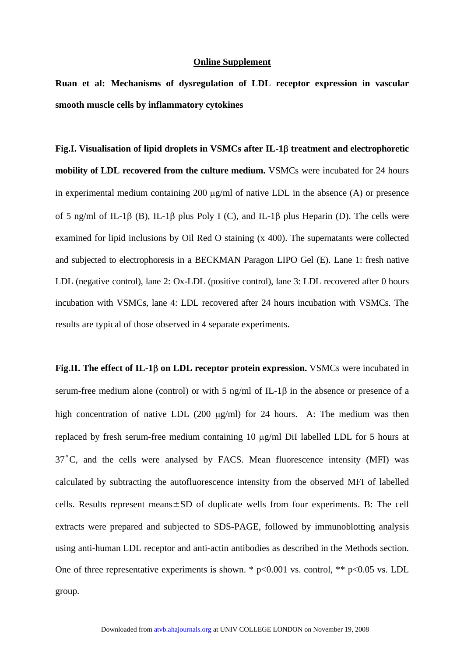#### **Online Supplement**

**Ruan et al: Mechanisms of dysregulation of LDL receptor expression in vascular smooth muscle cells by inflammatory cytokines** 

**Fig.I. Visualisation of lipid droplets in VSMCs after IL-1**β **treatment and electrophoretic mobility of LDL recovered from the culture medium.** VSMCs were incubated for 24 hours in experimental medium containing 200  $\mu$ g/ml of native LDL in the absence (A) or presence of 5 ng/ml of IL-1β (B), IL-1β plus Poly I (C), and IL-1β plus Heparin (D). The cells were examined for lipid inclusions by Oil Red O staining (x 400). The supernatants were collected and subjected to electrophoresis in a BECKMAN Paragon LIPO Gel (E). Lane 1: fresh native LDL (negative control), lane 2: Ox-LDL (positive control), lane 3: LDL recovered after 0 hours incubation with VSMCs, lane 4: LDL recovered after 24 hours incubation with VSMCs. The results are typical of those observed in 4 separate experiments.

**Fig.II. The effect of IL-1**β **on LDL receptor protein expression.** VSMCs were incubated in serum-free medium alone (control) or with 5 ng/ml of IL-1β in the absence or presence of a high concentration of native LDL (200 µg/ml) for 24 hours. A: The medium was then replaced by fresh serum-free medium containing 10 µg/ml DiI labelled LDL for 5 hours at 37˚C, and the cells were analysed by FACS. Mean fluorescence intensity (MFI) was calculated by subtracting the autofluorescence intensity from the observed MFI of labelled cells. Results represent means±SD of duplicate wells from four experiments. B: The cell extracts were prepared and subjected to SDS-PAGE, followed by immunoblotting analysis using anti-human LDL receptor and anti-actin antibodies as described in the Methods section. One of three representative experiments is shown. \*  $p<0.001$  vs. control, \*\*  $p<0.05$  vs. LDL group.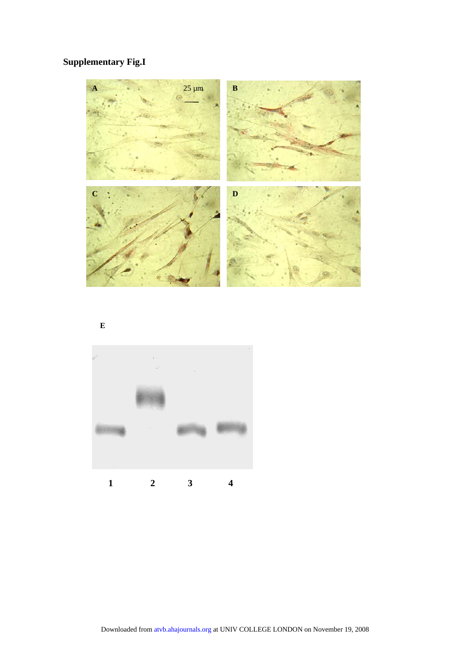## **Supplementary Fig.I**



**E**